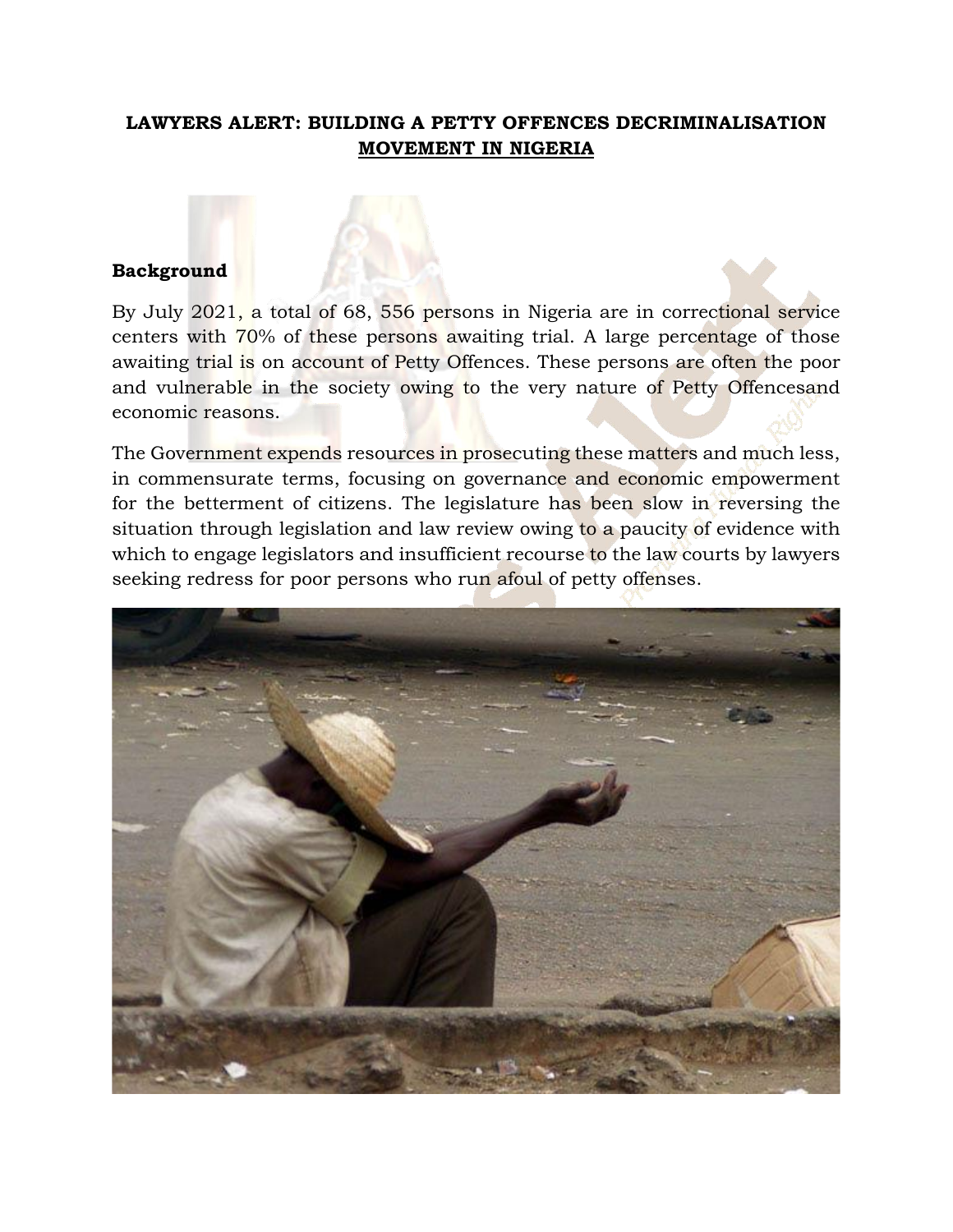## **LAWYERS ALERT: BUILDING A PETTY OFFENCES DECRIMINALISATION MOVEMENT IN NIGERIA**



By July 2021, a total of 68, 556 persons in Nigeria are in correctional service centers with 70% of these persons awaiting trial. A large percentage of those awaiting trial is on account of Petty Offences. These persons are often the poor and vulnerable in the society owing to the very nature of Petty Offencesand economic reasons.

The Government expends resources in prosecuting these matters and much less, in commensurate terms, focusing on governance and economic empowerment for the betterment of citizens. The legislature has been slow in reversing the situation through legislation and law review owing to a paucity of evidence with which to engage legislators and insufficient recourse to the law courts by lawyers seeking redress for poor persons who run afoul of petty offenses.

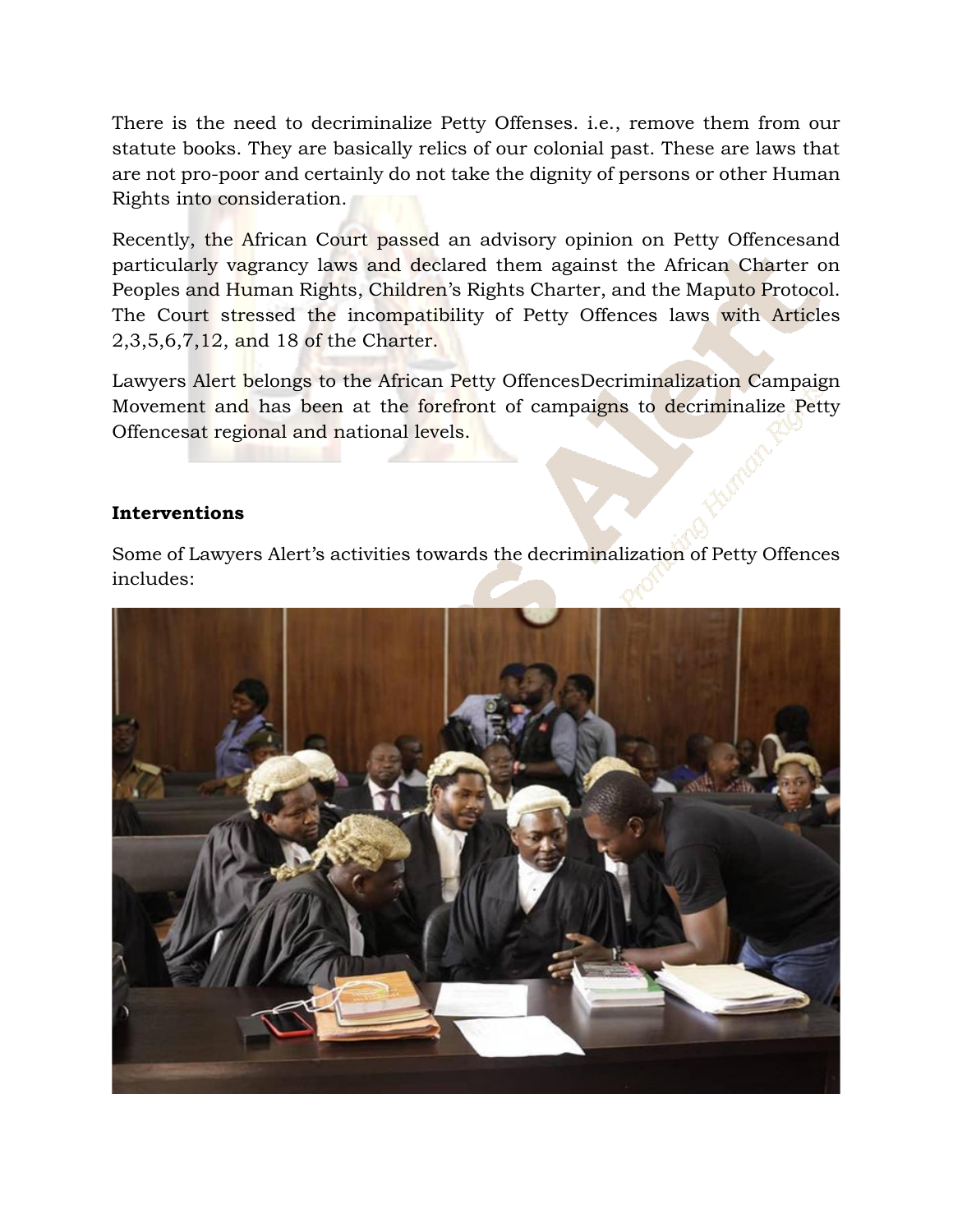There is the need to decriminalize Petty Offenses. i.e., remove them from our statute books. They are basically relics of our colonial past. These are laws that are not pro-poor and certainly do not take the dignity of persons or other Human Rights into consideration.

Recently, the African Court passed an advisory opinion on Petty Offencesand particularly vagrancy laws and declared them against the African Charter on Peoples and Human Rights, Children's Rights Charter, and the Maputo Protocol. The Court stressed the incompatibility of Petty Offences laws with Articles 2,3,5,6,7,12, and 18 of the Charter.

Lawyers Alert belongs to the African Petty OffencesDecriminalization Campaign Movement and has been at the forefront of campaigns to decriminalize Petty Offencesat regional and national levels.

#### **Interventions**

Some of Lawyers Alert's activities towards the decriminalization of Petty Offences includes:

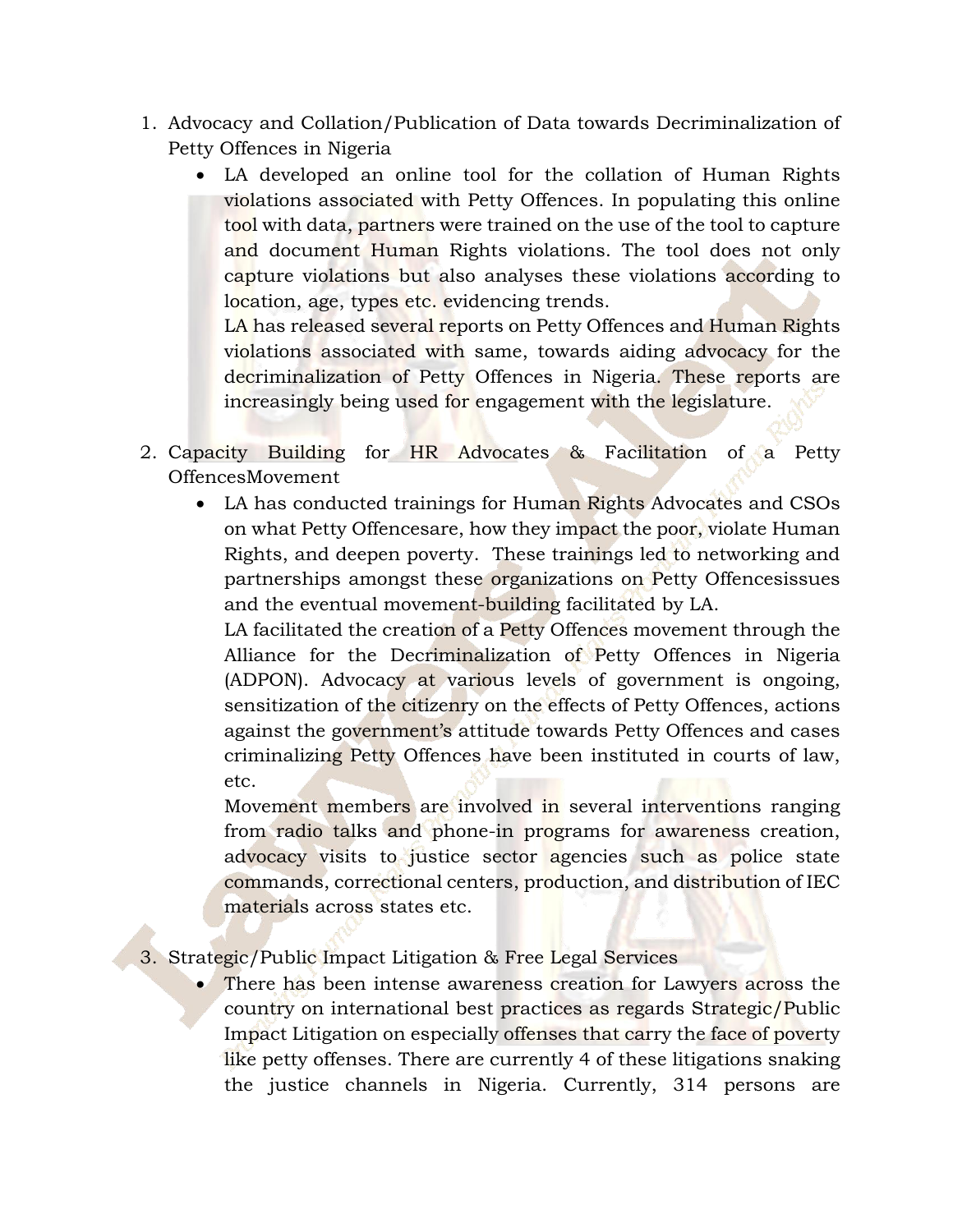- 1. Advocacy and Collation/Publication of Data towards Decriminalization of Petty Offences in Nigeria
	- LA developed an online tool for the collation of Human Rights violations associated with Petty Offences. In populating this online tool with data, partners were trained on the use of the tool to capture and document Human Rights violations. The tool does not only capture violations but also analyses these violations according to location, age, types etc. evidencing trends.

LA has released several reports on Petty Offences and Human Rights violations associated with same, towards aiding advocacy for the decriminalization of Petty Offences in Nigeria. These reports are increasingly being used for engagement with the legislature.

- 2. Capacity Building for HR Advocates & Facilitation of a Petty OffencesMovement
	- LA has conducted trainings for Human Rights Advocates and CSOs on what Petty Offencesare, how they impact the poor, violate Human Rights, and deepen poverty. These trainings led to networking and partnerships amongst these organizations on Petty Offencesissues and the eventual movement-building facilitated by LA.

LA facilitated the creation of a Petty Offences movement through the Alliance for the Decriminalization of Petty Offences in Nigeria (ADPON). Advocacy at various levels of government is ongoing, sensitization of the citizenry on the effects of Petty Offences, actions against the government's attitude towards Petty Offences and cases criminalizing Petty Offences have been instituted in courts of law, etc.

Movement members are involved in several interventions ranging from radio talks and phone-in programs for awareness creation, advocacy visits to justice sector agencies such as police state commands, correctional centers, production, and distribution of IEC materials across states etc.

- 3. Strategic/Public Impact Litigation & Free Legal Services
	- There has been intense awareness creation for Lawyers across the country on international best practices as regards Strategic/Public Impact Litigation on especially offenses that carry the face of poverty like petty offenses. There are currently 4 of these litigations snaking the justice channels in Nigeria. Currently, 314 persons are